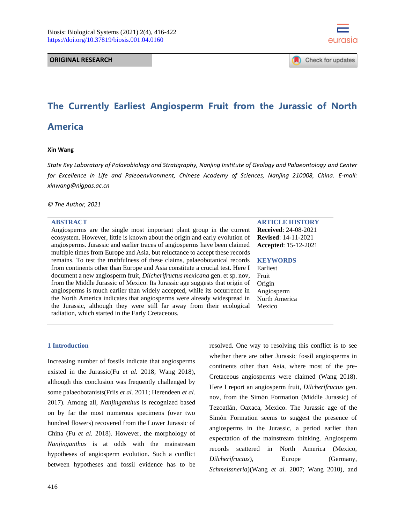**ORIGINAL RESEARCH**



Check for updates

# **The Currently Earliest Angiosperm Fruit from the Jurassic of North America**

#### **Xin Wang**

*State Key Laboratory of Palaeobiology and Stratigraphy, Nanjing Institute of Geology and Palaeontology and Center for Excellence in Life and Paleoenvironment, Chinese Academy of Sciences, Nanjing 210008, China. E-mail: [xinwang@nigpas.ac.cn](mailto:xinwang@nigpas.ac.cn)*

*© The Author, 2021*

#### **ABSTRACT**

Angiosperms are the single most important plant group in the current ecosystem. However, little is known about the origin and early evolution of angiosperms. Jurassic and earlier traces of angiosperms have been claimed multiple times from Europe and Asia, but reluctance to accept these records remains. To test the truthfulness of these claims, palaeobotanical records from continents other than Europe and Asia constitute a crucial test. Here I document a new angiosperm fruit, *Dilcherifructus mexicana* gen. et sp. nov, from the Middle Jurassic of Mexico. Its Jurassic age suggests that origin of angiosperms is much earlier than widely accepted, while its occurrence in the North America indicates that angiosperms were already widespread in the Jurassic, although they were still far away from their ecological radiation, which started in the Early Cretaceous.

## **1 Introduction**

Increasing number of fossils indicate that angiosperms existed in the Jurassic(Fu *et al.* 2018; Wang 2018), although this conclusion was frequently challenged by some palaeobotanists(Friis *et al.* 2011; Herendeen *et al.* 2017). Among all, *Nanjinganthus* is recognized based on by far the most numerous specimens (over two hundred flowers) recovered from the Lower Jurassic of China (Fu *et al.* 2018). However, the morphology of *Nanjinganthus* is at odds with the mainstream hypotheses of angiosperm evolution. Such a conflict between hypotheses and fossil evidence has to be

## **ARTICLE HISTORY**

**Received**: 24-08-2021 **Revised**: 14-11-2021 **Accepted**: 15-12-2021

#### **KEYWORDS**

Earliest Fruit Origin Angiosperm North America Mexico

resolved. One way to resolving this conflict is to see whether there are other Jurassic fossil angiosperms in continents other than Asia, where most of the pre-Cretaceous angiosperms were claimed (Wang 2018). Here I report an angiosperm fruit, *Dilcherifructus* gen. nov, from the Simόn Formation (Middle Jurassic) of Tezoatlán, Oaxaca, Mexico. The Jurassic age of the Simόn Formation seems to suggest the presence of angiosperms in the Jurassic, a period earlier than expectation of the mainstream thinking. Angiosperm records scattered in North America (Mexico, *Dilcherifructus*), Europe (Germany, *Schmeissneria*)(Wang *et al.* 2007; Wang 2010), and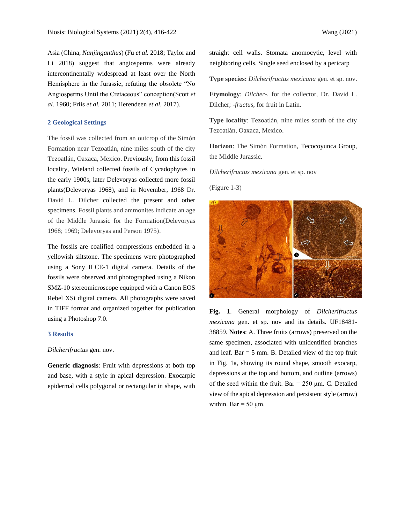Asia (China, *Nanjinganthus*) (Fu *et al.* 2018; Taylor and Li 2018) suggest that angiosperms were already intercontinentally widespread at least over the North Hemisphere in the Jurassic, refuting the obsolete "No Angiosperms Until the Cretaceous" conception(Scott *et al.* 1960; Friis *et al.* 2011; Herendeen *et al.* 2017).

# **2 Geological Settings**

The fossil was collected from an outcrop of the Simόn Formation near Tezoatlán, nine miles south of the city Tezoatlán, Oaxaca, Mexico. Previously, from this fossil locality, Wieland collected fossils of Cycadophytes in the early 1900s, later Delevoryas collected more fossil plants(Delevoryas 1968), and in November, 1968 Dr. David L. Dilcher collected the present and other specimens. Fossil plants and ammonites indicate an age of the Middle Jurassic for the Formation(Delevoryas 1968; 1969; Delevoryas and Person 1975).

The fossils are coalified compressions embedded in a yellowish siltstone. The specimens were photographed using a Sony ILCE-1 digital camera. Details of the fossils were observed and photographed using a Nikon SMZ-10 stereomicroscope equipped with a Canon EOS Rebel XSi digital camera. All photographs were saved in TIFF format and organized together for publication using a Photoshop 7.0.

#### **3 Results**

#### *Dilcherifructus* gen. nov.

**Generic diagnosis**: Fruit with depressions at both top and base, with a style in apical depression. Exocarpic epidermal cells polygonal or rectangular in shape, with straight cell walls. Stomata anomocytic, level with neighboring cells. Single seed enclosed by a pericarp

**Type species:** *Dilcherifructus mexicana* gen. et sp. nov.

**Etymology**: *Dilcher-,* for the collector, Dr. David L. Dilcher; *-fructus*, for fruit in Latin.

**Type locality**: Tezoatlán, nine miles south of the city Tezoatlán, Oaxaca, Mexico.

**Horizon**: The Simόn Formation, Tecocoyunca Group, the Middle Jurassic.

*Dilcherifructus mexicana* gen. et sp. nov

(Figure 1-3)



**Fig. 1**. General morphology of *Dilcherifructus mexicana* gen. et sp. nov and its details. UF18481- 38859. **Notes**: A. Three fruits (arrows) preserved on the same specimen, associated with unidentified branches and leaf. Bar  $=$  5 mm. B. Detailed view of the top fruit in Fig. 1a, showing its round shape, smooth exocarp, depressions at the top and bottom, and outline (arrows) of the seed within the fruit. Bar =  $250 \mu m$ . C. Detailed view of the apical depression and persistent style (arrow) within. Bar  $=$  50  $\mu$ m.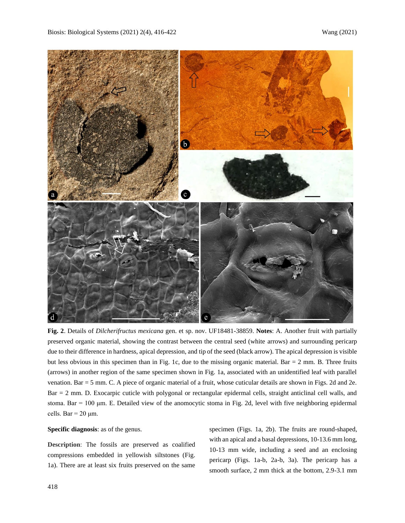

**Fig. 2**. Details of *Dilcherifructus mexicana* gen. et sp. nov. UF18481-38859. **Notes**: A. Another fruit with partially preserved organic material, showing the contrast between the central seed (white arrows) and surrounding pericarp due to their difference in hardness, apical depression, and tip of the seed (black arrow). The apical depression is visible but less obvious in this specimen than in Fig. 1c, due to the missing organic material. Bar = 2 mm. B. Three fruits (arrows) in another region of the same specimen shown in Fig. 1a, associated with an unidentified leaf with parallel venation. Bar = 5 mm. C. A piece of organic material of a fruit, whose cuticular details are shown in Figs. 2d and 2e. Bar = 2 mm. D. Exocarpic cuticle with polygonal or rectangular epidermal cells, straight anticlinal cell walls, and stoma. Bar = 100 μm. E. Detailed view of the anomocytic stoma in Fig. 2d, level with five neighboring epidermal cells. Bar =  $20 \mu m$ .

#### **Specific diagnosis**: as of the genus.

**Description**: The fossils are preserved as coalified compressions embedded in yellowish siltstones (Fig. 1a). There are at least six fruits preserved on the same

specimen (Figs. 1a, 2b). The fruits are round-shaped, with an apical and a basal depressions, 10-13.6 mm long, 10-13 mm wide, including a seed and an enclosing pericarp (Figs. 1a-b, 2a-b, 3a). The pericarp has a smooth surface, 2 mm thick at the bottom, 2.9-3.1 mm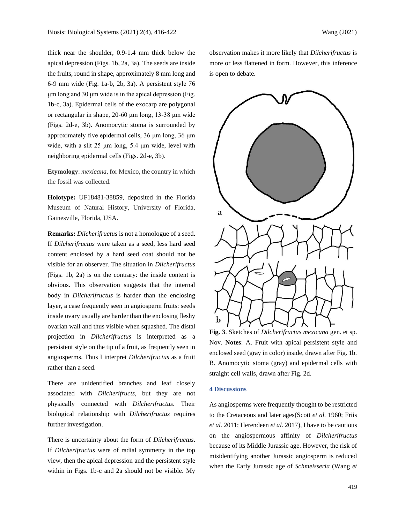thick near the shoulder, 0.9-1.4 mm thick below the apical depression (Figs. 1b, 2a, 3a). The seeds are inside the fruits, round in shape, approximately 8 mm long and 6-9 mm wide (Fig. 1a-b, 2b, 3a). A persistent style 76 μm long and 30 μm wide is in the apical depression (Fig. 1b-c, 3a). Epidermal cells of the exocarp are polygonal or rectangular in shape, 20-60 μm long, 13-38 μm wide (Figs. 2d-e, 3b). Anomocytic stoma is surrounded by approximately five epidermal cells, 36 μm long, 36 μm wide, with a slit 25 μm long, 5.4 μm wide, level with neighboring epidermal cells (Figs. 2d-e, 3b).

**Etymology**: *mexicana,* for Mexico, the country in which the fossil was collected.

**Holotype:** UF18481-38859, deposited in the Florida Museum of Natural History, University of Florida, Gainesville, Florida, USA.

**Remarks:** *Dilcherifructus* is not a homologue of a seed. If *Dilcherifructus* were taken as a seed, less hard seed content enclosed by a hard seed coat should not be visible for an observer. The situation in *Dilcherifructus* (Figs. 1b, 2a) is on the contrary: the inside content is obvious. This observation suggests that the internal body in *Dilcherifructus* is harder than the enclosing layer, a case frequently seen in angiosperm fruits: seeds inside ovary usually are harder than the enclosing fleshy ovarian wall and thus visible when squashed. The distal projection in *Dilcherifructus* is interpreted as a persistent style on the tip of a fruit, as frequently seen in angiosperms. Thus I interpret *Dilcherifructus* as a fruit rather than a seed.

There are unidentified branches and leaf closely associated with *Dilcherifructs*, but they are not physically connected with *Dilcherifructus*. Their biological relationship with *Dilcherifructus* requires further investigation.

There is uncertainty about the form of *Dilcherifructus*. If *Dilcherifructus* were of radial symmetry in the top view, then the apical depression and the persistent style within in Figs. 1b-c and 2a should not be visible. My observation makes it more likely that *Dilcherifructus* is more or less flattened in form. However, this inference is open to debate.



**Fig. 3**. Sketches of *Dilcherifructus mexicana* gen. et sp. Nov. **Notes**: A. Fruit with apical persistent style and enclosed seed (gray in color) inside, drawn after Fig. 1b. B. Anomocytic stoma (gray) and epidermal cells with straight cell walls, drawn after Fig. 2d.

# **4 Discussions**

As angiosperms were frequently thought to be restricted to the Cretaceous and later ages(Scott *et al.* 1960; Friis *et al.* 2011; Herendeen *et al.* 2017), I have to be cautious on the angiospermous affinity of *Dilcherifructus*  because of its Middle Jurassic age. However, the risk of misidentifying another Jurassic angiosperm is reduced when the Early Jurassic age of *Schmeisseria* (Wang *et*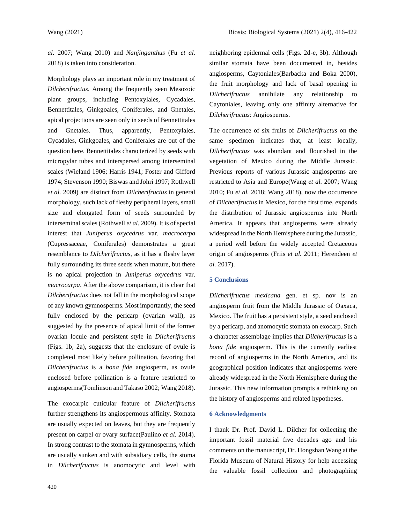*al.* 2007; Wang 2010) and *Nanjinganthus* (Fu *et al.* 2018) is taken into consideration.

Morphology plays an important role in my treatment of *Dilcherifructus*. Among the frequently seen Mesozoic plant groups, including Pentoxylales, Cycadales, Bennettitales, Ginkgoales, Coniferales, and Gnetales, apical projections are seen only in seeds of Bennettitales and Gnetales. Thus, apparently, Pentoxylales, Cycadales, Ginkgoales, and Coniferales are out of the question here. Bennettitales characterized by seeds with micropylar tubes and interspersed among interseminal scales (Wieland 1906; Harris 1941; Foster and Gifford 1974; Stevenson 1990; Biswas and Johri 1997; Rothwell *et al.* 2009) are distinct from *Dilcherifructus* in general morphology, such lack of fleshy peripheral layers, small size and elongated form of seeds surrounded by interseminal scales (Rothwell *et al.* 2009). It is of special interest that *Juniperus oxycedrus* var. *macrocarpa* (Cupressaceae, Coniferales) demonstrates a great resemblance to *Dilcherifructus*, as it has a fleshy layer fully surrounding its three seeds when mature, but there is no apical projection in *Juniperus oxycedrus* var. *macrocarpa*. After the above comparison, it is clear that *Dilcherifructus* does not fall in the morphological scope of any known gymnosperms. Most importantly, the seed fully enclosed by the pericarp (ovarian wall), as suggested by the presence of apical limit of the former ovarian locule and persistent style in *Dilcherifructus* (Figs. 1b, 2a), suggests that the enclosure of ovule is completed most likely before pollination, favoring that *Dilcherifructus* is a *bona fide* angiosperm, as ovule enclosed before pollination is a feature restricted to angiosperms(Tomlinson and Takaso 2002; Wang 2018).

The exocarpic cuticular feature of *Dilcherifructus* further strengthens its angiospermous affinity. Stomata are usually expected on leaves, but they are frequently present on carpel or ovary surface(Paulino *et al.* 2014). In strong contrast to the stomata in gymnosperms, which are usually sunken and with subsidiary cells, the stoma in *Dilcherifructus* is anomocytic and level with neighboring epidermal cells (Figs. 2d-e, 3b). Although similar stomata have been documented in, besides angiosperms, Caytoniales(Barbacka and Boka 2000), the fruit morphology and lack of basal opening in *Dilcherifructus* annihilate any relationship to Caytoniales, leaving only one affinity alternative for *Dilcherifructus*: Angiosperms.

The occurrence of six fruits of *Dilcherifructus* on the same specimen indicates that, at least locally, *Dilcherifructus* was abundant and flourished in the vegetation of Mexico during the Middle Jurassic. Previous reports of various Jurassic angiosperms are restricted to Asia and Europe(Wang *et al.* 2007; Wang 2010; Fu *et al.* 2018; Wang 2018), now the occurrence of *Dilcherifructus* in Mexico, for the first time, expands the distribution of Jurassic angiosperms into North America. It appears that angiosperms were already widespread in the North Hemisphere during the Jurassic, a period well before the widely accepted Cretaceous origin of angiosperms (Friis *et al.* 2011; Herendeen *et al.* 2017).

## **5 Conclusions**

*Dilcherifructus mexicana* gen. et sp. nov is an angiosperm fruit from the Middle Jurassic of Oaxaca, Mexico. The fruit has a persistent style, a seed enclosed by a pericarp, and anomocytic stomata on exocarp. Such a character assemblage implies that *Dilcherifructus* is a *bona fide* angiosperm. This is the currently earliest record of angiosperms in the North America, and its geographical position indicates that angiosperms were already widespread in the North Hemisphere during the Jurassic. This new information prompts a rethinking on the history of angiosperms and related hypotheses.

#### **6 Acknowledgments**

I thank Dr. Prof. David L. Dilcher for collecting the important fossil material five decades ago and his comments on the manuscript, Dr. Hongshan Wang at the Florida Museum of Natural History for help accessing the valuable fossil collection and photographing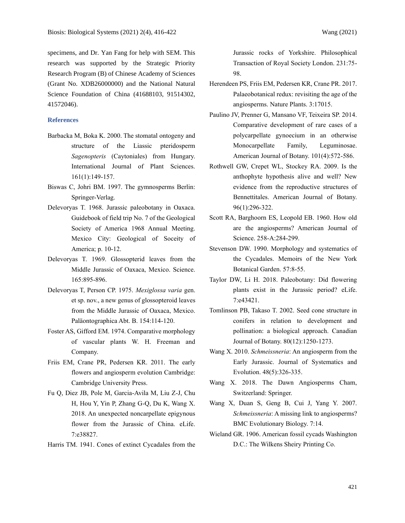specimens, and Dr. Yan Fang for help with SEM. This research was supported by the Strategic Priority Research Program (B) of Chinese Academy of Sciences (Grant No. XDB26000000) and the National Natural Science Foundation of China (41688103, 91514302, 41572046).

## **References**

- Barbacka M, Boka K. 2000. The stomatal ontogeny and structure of the Liassic pteridosperm *Sagenopteris* (Caytoniales) from Hungary. International Journal of Plant Sciences. 161(1):149-157.
- Biswas C, Johri BM. 1997. The gymnosperms Berlin: Springer-Verlag.
- Delevoryas T. 1968. Jurassic paleobotany in Oaxaca. Guidebook of field trip No. 7 of the Geological Society of America 1968 Annual Meeting. Mexico City: Geological of Soceity of America; p. 10-12.
- Delevoryas T. 1969. Glossopterid leaves from the Middle Jurassic of Oaxaca, Mexico. Science. 165:895-896.
- Delevoryas T, Person CP. 1975. *Mexiglossa varia* gen. et sp. nov., a new genus of glossopteroid leaves from the Middle Jurassic of Oaxaca, Mexico. Paläontographica Abt. B. 154:114-120.
- Foster AS, Gifford EM. 1974. Comparative morphology of vascular plants W. H. Freeman and Company.
- Friis EM, Crane PR, Pedersen KR. 2011. The early flowers and angiosperm evolution Cambridge: Cambridge University Press.
- Fu Q, Diez JB, Pole M, Garcia-Avila M, Liu Z-J, Chu H, Hou Y, Yin P, Zhang G-Q, Du K, Wang X. 2018. An unexpected noncarpellate epigynous flower from the Jurassic of China. eLife. 7:e38827.
- Harris TM. 1941. Cones of extinct Cycadales from the

Jurassic rocks of Yorkshire. Philosophical Transaction of Royal Society London. 231:75- 98.

- Herendeen PS, Friis EM, Pedersen KR, Crane PR. 2017. Palaeobotanical redux: revisiting the age of the angiosperms. Nature Plants. 3:17015.
- Paulino JV, Prenner G, Mansano VF, Teixeira SP. 2014. Comparative development of rare cases of a polycarpellate gynoecium in an otherwise Monocarpellate Family, Leguminosae. American Journal of Botany. 101(4):572-586.
- Rothwell GW, Crepet WL, Stockey RA. 2009. Is the anthophyte hypothesis alive and well? New evidence from the reproductive structures of Bennettitales. American Journal of Botany. 96(1):296-322.
- Scott RA, Barghoorn ES, Leopold EB. 1960. How old are the angiosperms? American Journal of Science. 258-A:284-299.
- Stevenson DW. 1990. Morphology and systematics of the Cycadales. Memoirs of the New York Botanical Garden. 57:8-55.
- Taylor DW, Li H. 2018. Paleobotany: Did flowering plants exist in the Jurassic period? eLife. 7:e43421.
- Tomlinson PB, Takaso T. 2002. Seed cone structure in conifers in relation to development and pollination: a biological approach. Canadian Journal of Botany. 80(12):1250-1273.
- Wang X. 2010. *Schmeissneria*: An angiosperm from the Early Jurassic. Journal of Systematics and Evolution. 48(5):326-335.
- Wang X. 2018. The Dawn Angiosperms Cham, Switzerland: Springer.
- Wang X, Duan S, Geng B, Cui J, Yang Y. 2007. *Schmeissneria*: A missing link to angiosperms? BMC Evolutionary Biology. 7:14.
- Wieland GR. 1906. American fossil cycads Washington D.C.: The Wilkens Sheiry Printing Co.